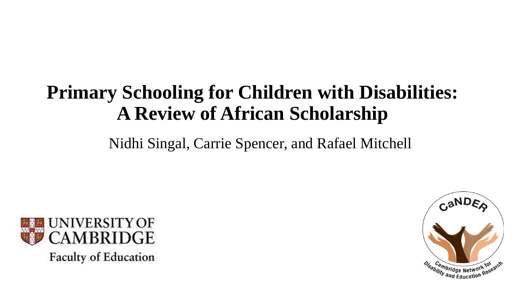#### **Primary Schooling for Children with Disabilities: A Review of African Scholarship**

Nidhi Singal, Carrie Spencer, and Rafael Mitchell



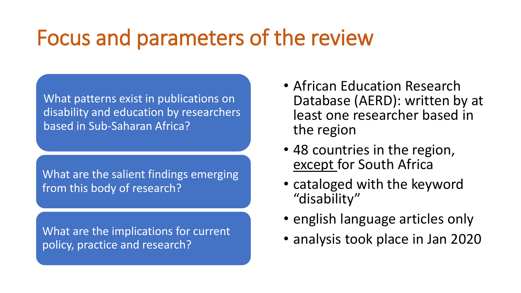# Focus and parameters of the review

What patterns exist in publications on disability and education by researchers based in Sub-Saharan Africa?

What are the salient findings emerging from this body of research?

What are the implications for current policy, practice and research?

- African Education Research Database (AERD): written by at least one researcher based in the region
- 48 countries in the region, except for South Africa
- cataloged with the keyword "disability"
- english language articles only
- analysis took place in Jan 2020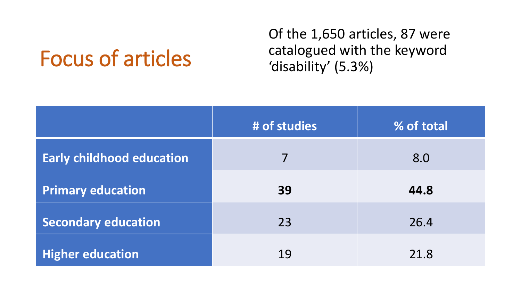## Focus of articles

Of the 1,650 articles, 87 were catalogued with the keyword 'disability' (5.3%)

|                                  | # of studies | % of total |
|----------------------------------|--------------|------------|
| <b>Early childhood education</b> | 7            | 8.0        |
| <b>Primary education</b>         | 39           | 44.8       |
| <b>Secondary education</b>       | 23           | 26.4       |
| <b>Higher education</b>          | 19           | 21.8       |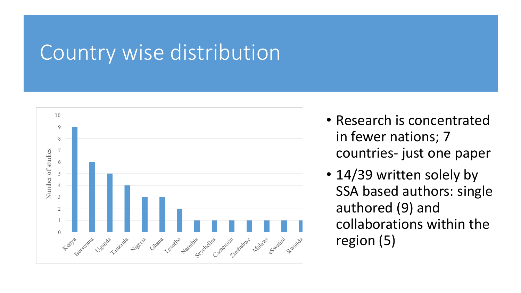#### Country wise distribution



- Research is concentrated in fewer nations; 7 countries- just one paper
- 14/39 written solely by SSA based authors: single authored (9) and collaborations within the region (5)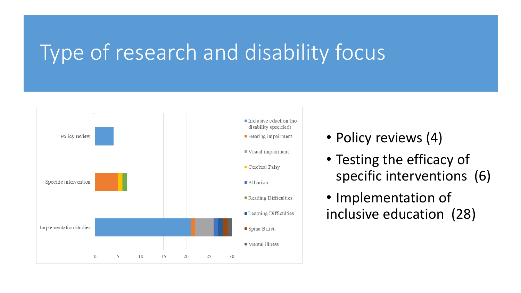### Type of research and disability focus



- Policy reviews (4)
- Testing the efficacy of specific interventions (6)
- Implementation of inclusive education (28)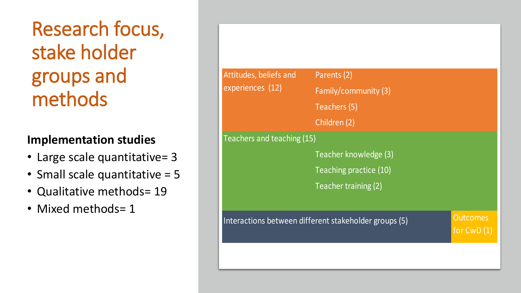Research focus, stake holder groups and methods

#### **Implementation studies**

- Large scale quantitative= 3
- Small scale quantitative = 5
- Qualitative methods= 19
- Mixed methods= 1

| Attitudes, beliefs and<br>experiences (12) | Parents (2)                                           |                                 |  |
|--------------------------------------------|-------------------------------------------------------|---------------------------------|--|
|                                            | Family/community (3)                                  |                                 |  |
|                                            | Teachers (5)                                          |                                 |  |
|                                            | Children (2)                                          |                                 |  |
| Teachers and teaching (15)                 |                                                       |                                 |  |
|                                            | Teacher knowledge (3)                                 |                                 |  |
|                                            | Teaching practice (10)                                |                                 |  |
|                                            | Teacher training (2)                                  |                                 |  |
|                                            |                                                       |                                 |  |
|                                            | Interactions between different stakeholder groups (5) | <b>Outcomes</b><br>for $CWD(1)$ |  |
|                                            |                                                       |                                 |  |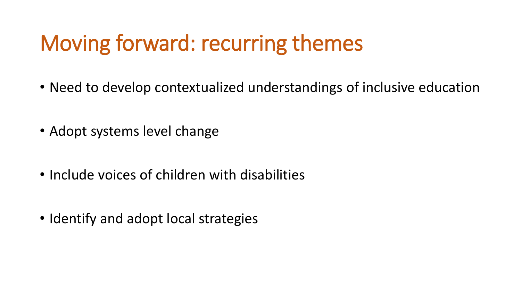# Moving forward: recurring themes

- Need to develop contextualized understandings of inclusive education
- Adopt systems level change
- Include voices of children with disabilities
- Identify and adopt local strategies